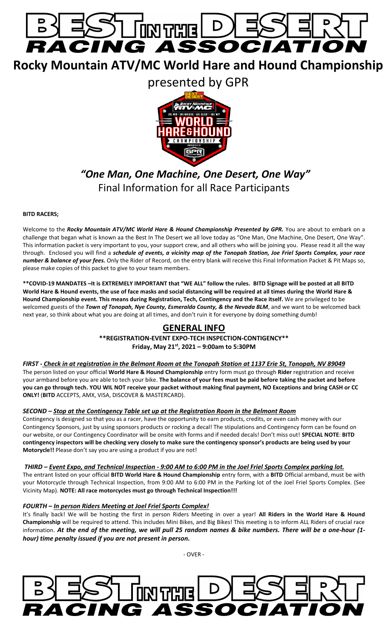

**Rocky Mountain ATV/MC World Hare and Hound Championship** 

presented by GPR



# *"One Man, One Machine, One Desert, One Way"* Final Information for all Race Participants

#### **BITD RACERS;**

Welcome to the *Rocky Mountain ATV/MC World Hare & Hound Championship Presented by GPR.* You are about to embark on a challenge that began what is known aa the Best In The Desert we all love today as "One Man, One Machine, One Desert, One Way". This information packet is very important to you, your support crew, and all others who will be joining you. Please read it all the way through. Enclosed you will find a *schedule of events, a vicinity map of the Tonopah Station, Joe Friel Sports Complex, your race number & balance of your fees.* Only the Rider of Record, on the entry blank will receive this Final Information Packet & Pit Maps so, please make copies of this packet to give to your team members.

**\*\*COVID-19 MANDATES –It is EXTREMELY IMPORTANT that "WE ALL" follow the rules. BITD Signage will be posted at all BITD World Hare & Hound events, the use of face masks and social distancing will be required at all times during the World Hare & Hound Championship event. This means during Registration, Tech, Contingency and the Race itself.** We are privileged to be welcomed guests of the *Town of Tonopah, Nye County, Esmeralda County, & the Nevada BLM*, and we want to be welcomed back next year, so think about what you are doing at all times, and don't ruin it for everyone by doing something dumb!

# **GENERAL INFO**

**\*\*REGISTRATION-EVENT EXPO-TECH INSPECTION-CONTIGENCY\*\* Friday, May 21st, 2021 – 9:00am to 5:30PM**

*FIRST - Check in at registration in the Belmont Room at the Tonopah Station at 1137 Erie St, Tonopah, NV 89049* The person listed on your official **World Hare & Hound Championship** entry form must go through **Rider** registration and receive your armband before you are able to tech your bike. **The balance of your fees must be paid before taking the packet and before you can go through tech. YOU WIL NOT receive your packet without making final payment, NO Exceptions and bring CASH or CC ONLY!** (**BITD** ACCEPTS, AMX, VISA, DISCOVER & MASTERCARD).

## *SECOND – Stop at the Contingency Table set up at the Registration Room in the Belmont Room*

Contingency is designed so that you as a racer, have the opportunity to earn products, credits, or even cash money with our Contingency Sponsors, just by using sponsors products or rocking a decal! The stipulations and Contingency form can be found on our website, or our Contingency Coordinator will be onsite with forms and if needed decals! Don't miss out! **SPECIAL NOTE**: **BITD contingency inspectors will be checking very closely to make sure the contingency sponsor's products are being used by your Motorycle!!** Please don't say you are using a product if you are not!

#### *THIRD – Event Expo, and Technical Inspection - 9:00 AM to 6:00 PM in the Joel Friel Sports Complex parking lot.*

The entrant listed on your official **BITD World Hare & Hound Championship** entry form, with a **BITD** Official armband, must be with your Motorcycle through Technical Inspection, from 9:00 AM to 6:00 PM in the Parking lot of the Joel Friel Sports Complex. (See Vicinity Map). **NOTE: All race motorcycles must go through Technical Inspection!!!**

#### *FOURTH – In person Riders Meeting at Joel Friel Sports Complex!*

It's finally back! We will be hosting the first in person Riders Meeting in over a year! **All Riders in the World Hare & Hound Championship** will be required to attend. This includes Mini Bikes, and Big Bikes! This meeting is to inform ALL Riders of crucial race information. *At the end of the meeting, we will pull 25 random names & bike numbers. There will be a one-hour (1 hour) time penalty issued if you are not present in person.* 

- OVER -

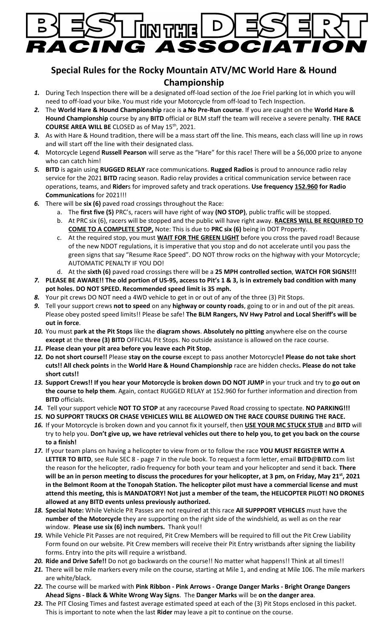

# **Special Rules for the Rocky Mountain ATV/MC World Hare & Hound Championship**

- *1.* During Tech Inspection there will be a designated off-load section of the Joe Friel parking lot in which you will need to off-load your bike. You must ride your Motorcycle from off-load to Tech Inspection.
- *2.* The **World Hare & Hound Championship** race is **a No Pre-Run course**. If you are caught on the **World Hare & Hound Championship** course by any **BITD** official or BLM staff the team will receive a severe penalty. **THE RACE COURSE AREA WILL BE** CLOSED as of May 15th, 2021.
- *3.* As with Hare & Hound tradition, there will be a mass start off the line. This means, each class will line up in rows and will start off the line with their designated class.
- *4.* Motorcycle Legend **Russell Pearson** will serve as the "Hare" for this race! There will be a \$6,000 prize to anyone who can catch him!
- *5.* **BITD** is again using **RUGGED RELAY** race communications. **Rugged Radios** is proud to announce radio relay service for the 2021 **BITD** racing season. Radio relay provides a critical communication service between race operations, teams, and **Rider**s for improved safety and track operations. **Use frequency 152.960 for Radio Communications** for 2021!!!
- *6.* There will be **six (6)** paved road crossings throughout the Race:
	- a. The **first five (5)** PRC's, racers will have right of way **(NO STOP)**, public traffic will be stopped.
	- b. At PRC six (6), racers will be stopped and the public will have right away. **RACERS WILL BE REQUIRED TO COME TO A COMPLETE STOP,** Note: This is due to **PRC six (6)** being in DOT Property.
	- c. At the required stop, you must **WAIT FOR THE GREEN LIGHT** before you cross the paved road! Because of the new NDOT regulations, it is imperative that you stop and do not accelerate until you pass the green signs that say "Resume Race Speed". DO NOT throw rocks on the highway with your Motorcycle; AUTOMATIC PENALTY IF YOU DO!
	- d. At the **sixth (6)** paved road crossings there will be a **25 MPH controlled section**, **WATCH FOR SIGNS!!!**
- *7.* **PLEASE BE AWARE!! The old portion of US-95, access to Pit's 1 & 3, is in extremely bad condition with many pot holes. DO NOT SPEED. Recommended speed limit is 35 mph.**
- *8.* Your pit crews DO NOT need a 4WD vehicle to get in or out of any of the three (3) Pit Stops.
- *9.* Tell your support crews **not to speed** on any **highway or county roads**, going to or in and out of the pit areas. Please obey posted speed limits!! Please be safe! **The BLM Rangers, NV Hwy Patrol and Local Sheriff's will be out in force**.
- *10.* You must **park at the Pit Stops** like the **diagram shows**. **Absolutely no pitting** anywhere else on the course **except** at the **three (3) BITD** OFFICIAL Pit Stops. No outside assistance is allowed on the race course.
- *11.* **Please clean your pit area before you leave each Pit Stop.**
- *12.* **Do not short course!!** Please **stay on the course** except to pass another Motorcycle**! Please do not take short cuts!! All check points** in the **World Hare & Hound Championship** race are hidden checks**. Please do not take short cuts!!**
- *13.* **Support Crews!! If you hear your Motorcycle is broken down DO NOT JUMP** in your truck and try to **go out on the course to help them**. Again, contact RUGGED RELAY at 152.960 for further information and direction from **BITD** officials.
- *14.* Tell your support vehicle **NOT TO STOP** at any racecourse Paved Road crossing to spectate. **NO PARKING!!!**
- *15.* **NO SUPPORT TRUCKS OR CHASE VEHICLES WILL BE ALLOWED ON THE RACE COURSE DURING THE RACE.**
- *16.* If your Motorcycle is broken down and you cannot fix it yourself, then **USE YOUR MC STUCK STUB** and **BITD** will try to help you. **Don't give up, we have retrieval vehicles out there to help you, to get you back on the course to a finish!**
- *17.* If your team plans on having a helicopter to view from or to follow the race **YOU MUST REGISTER WITH A LETTER TO BITD**, see Rule SEC 8 - page 7 in the rule book. To request a form letter, email **BITD**@**BITD**.com list the reason for the helicopter, radio frequency for both your team and your helicopter and send it back. **There will be an in person meeting to discuss the procedures for your helicopter, at 3 pm, on Friday, May 21st, 2021 in the Belmont Room at the Tonopah Station. The helicopter pilot must have a commercial license and must attend this meeting, this is MANDATORY! Not just a member of the team, the HELICOPTER PILOT! NO DRONES allowed at any BITD events unless previously authorized.**
- *18.* **Special Note:** While Vehicle Pit Passes are not required at this race **All SUPPPORT VEHICLES** must have the **number of the Motorcycle** they are supporting on the right side of the windshield, as well as on the rear window. **Please use six (6) inch numbers.** Thank you!!
- *19.* While Vehicle Pit Passes are not required, Pit Crew Members will be required to fill out the Pit Crew Liability Form found on our website. Pit Crew members will receive their Pit Entry wristbands after signing the liability forms. Entry into the pits will require a wristband.
- *20.* **Ride and Drive Safe!!** Do not go backwards on the course!! No matter what happens!! Think at all times!!
- *21.* There will be mile markers every mile on the course, starting at Mile 1, and ending at Mile 106. The mile markers are white/black.
- *22.* The course will be marked with **Pink Ribbon - Pink Arrows - Orange Danger Marks - Bright Orange Dangers Ahead Signs - Black & White Wrong Way Signs**. The **Danger Marks** will be **on the danger area**.
- *23.* The PIT Closing Times and fastest average estimated speed at each of the (3) Pit Stops enclosed in this packet. This is important to note when the last **Rider** may leave a pit to continue on the course.